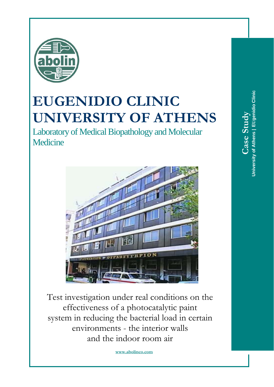

## **EUGENIDIO CLINIC UNIVERSITY OF ATHENS**

Laboratory of Medical Biopathology and Molecular **Medicine** 



Test investigation under real conditions on the effectiveness of a photocatalytic paint system in reducing the bacterial load in certain environments - the interior walls and the indoor room air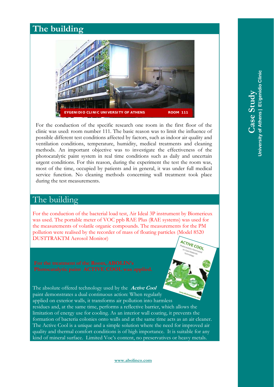#### **The building**



For the conduction of the specific research one room in the first floor of the clinic was used: room number 111. The basic reason was to limit the influence of possible different test conditions affected by factors, such as indoor air quality and ventilation conditions, temperature, humidity, medical treatments and cleaning methods. An important objective was to investigate the effectiveness of the photocatalytic paint system in real time conditions such as daily and uncertain urgent conditions. For this reason, during the experiment the test the room was, most of the time, occupied by patients and in general, it was under full medical service function. No cleaning methods concerning wall treatment took place during the test measurements.

#### The building

For the conduction of the bacterial load test, Air Ideal 3P instrument by Biomerieux was used. The portable meter of VOC ppb RAE Plus (RAE systems) was used for the measurements of volatile organic compounds. The measurements for the PM pollution were realised by the recorder of mass of floating particles (Model 8520 DUSTTRAKTM Aerosol Monitor) **ACTIVE COOL** 

The absolute offered technology used by the **Active Cool** paint demonstrates a dual continuous action: When regularly applied on exterior walls, it transforms air pollution into harmless residues and, at the same time, performs a reflective barrier, which allows the limitation of energy use for cooling. As an interior wall coating, it prevents the formation of bacteria colonies onto walls and at the same time acts as an air cleaner. The Active Cool is a unique and a simple solution where the need for improved air quality and thermal comfort conditions is of high importance. It is suitable for any kind of mineral surface. Limited Voc's content, no preservatives or heavy metals.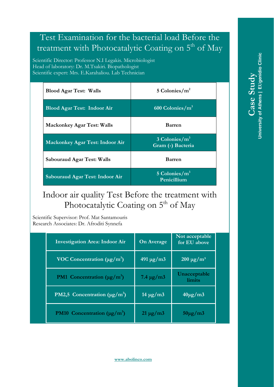#### Test Examination for the bacterial load Before the treatment with Photocatalytic Coating on  $5<sup>th</sup>$  of May

Scientific Director: Professor N.I Legakis. Microbiologist Head of laboratory: Dr. M.Tsakiri. Biopathologist Scientific expert: Mrs. E.Karahaliou. Lab Technician

| <b>Blood Agar Test: Walls</b>          | 5 Colonies/ $m2$                        |  |
|----------------------------------------|-----------------------------------------|--|
| <b>Blood Agar Test: Indoor Air</b>     | 600 Colonies/ $m3$                      |  |
| <b>Mackonkey Agar Test: Walls</b>      | <b>Barren</b>                           |  |
| <b>Mackonkey Agar Test: Indoor Air</b> | $3$ Colonies/ $m3$<br>Gram (-) Bacteria |  |
| <b>Sabouraud Agar Test: Walls</b>      | <b>Barren</b>                           |  |
| Sabouraud Agar Test: Indoor Air        | 5 Colonies/ $m3$<br>Penicillium         |  |

#### Indoor air quality Test Before the treatment with Photocatalytic Coating on 5<sup>th</sup> of May

Scientific Supervisor: Prof. Mat Santamouris Research Associates: Dr. Afroditi Synnefa

| <b>Investigation Area: Indoor Air</b>                | <b>On Average</b>                     | Not acceptable<br>for EU above |
|------------------------------------------------------|---------------------------------------|--------------------------------|
| VOC Concentration ( $\mu$ g/m <sup>3</sup> )         | $491 \,\mathrm{\upmu g}/\mathrm{m}$ 3 | $200 \mu g/m^3$                |
| <b>PM1</b> Concentration ( $\mu$ g/m <sup>3</sup> )  | $7.4 \,\mathrm{\mu g/m3}$             | Unacceptable<br><i>limits</i>  |
| PM2,5 Concentration ( $\mu$ g/m <sup>3</sup> )       | $14 \mu g/m3$                         | $40\mu g/m3$                   |
| <b>PM10</b> Concentration ( $\mu$ g/m <sup>3</sup> ) | $21 \mu g/m3$                         | $50 \mu g/m3$                  |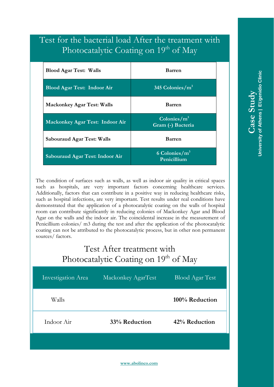#### Test for the bacterial load After the treatment with Photocatalytic Coating on 19th of May

| <b>Blood Agar Test: Walls</b>          | <b>Barren</b>                                     |  |
|----------------------------------------|---------------------------------------------------|--|
| <b>Blood Agar Test: Indoor Air</b>     | 345 Colonies/ $m3$                                |  |
| <b>Mackonkey Agar Test: Walls</b>      | <b>Barren</b>                                     |  |
| <b>Mackonkey Agar Test: Indoor Air</b> | $\text{Colonies}/\text{m}^3$<br>Gram (-) Bacteria |  |
| <b>Sabouraud Agar Test: Walls</b>      | <b>Barren</b>                                     |  |
| Sabouraud Agar Test: Indoor Air        | 6 Colonies/ $m3$<br>Penicillium                   |  |

The condition of surfaces such as walls, as well as indoor air quality in critical spaces such as hospitals, are very important factors concerning healthcare services. Additionally, factors that can contribute in a positive way in reducing healthcare risks, such as hospital infections, are very important. Test results under real conditions have demonstrated that the application of a photocatalytic coating on the walls of hospital room can contribute significantly in reducing colonies of Mackonkey Agar and Blood Agar on the walls and the indoor air. The coincidental increase in the measurement of Penicillium colonies/ m3 during the test and after the application of the photocatalytic coating can not be attributed to the photocatalytic process, but in other non permanent sources/ factors.

#### Test After treatment with Photocatalytic Coating on 19th of May

| Investigation Area | Mackonkey AgarTest | <b>Blood Agar Test</b> |
|--------------------|--------------------|------------------------|
| Walls              |                    | 100% Reduction         |
| Indoor Air         | 33% Reduction      | 42% Reduction          |
|                    |                    |                        |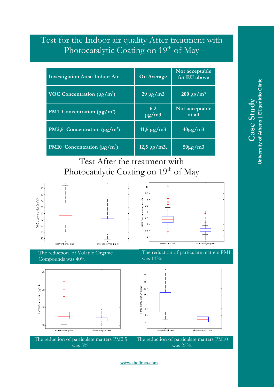#### Test for the Indoor air quality After treatment with Photocatalytic Coating on 19th of May

| <b>Investigation Area: Indoor Air</b>                 | <b>On Average</b>            | Not acceptable<br>for EU above |
|-------------------------------------------------------|------------------------------|--------------------------------|
| VOC Concentration $(\mu g/m^3)$                       | $29 \mu g/m3$                | $200 \mu g/m^3$                |
| <b>PM1</b> Concentration ( $\mu$ g/m <sup>3</sup> )   | 6.2<br>$\mu$ g/m3            | Not acceptable<br>at all       |
| <b>PM2,5</b> Concentration ( $\mu$ g/m <sup>3</sup> ) | $11,5 \,\mu g/m3$            | $40\mu g/m3$                   |
| <b>PM10</b> Concentration $(\mu g/m^3)$               | $12,5 \,\mathrm{\mu g/m3}$ , | $50\mu g/m3$                   |

### Test After the treatment with Photocatalytic Coating on 19<sup>th</sup> of May





The reduction of Volatile Organic Compounds was 40%.